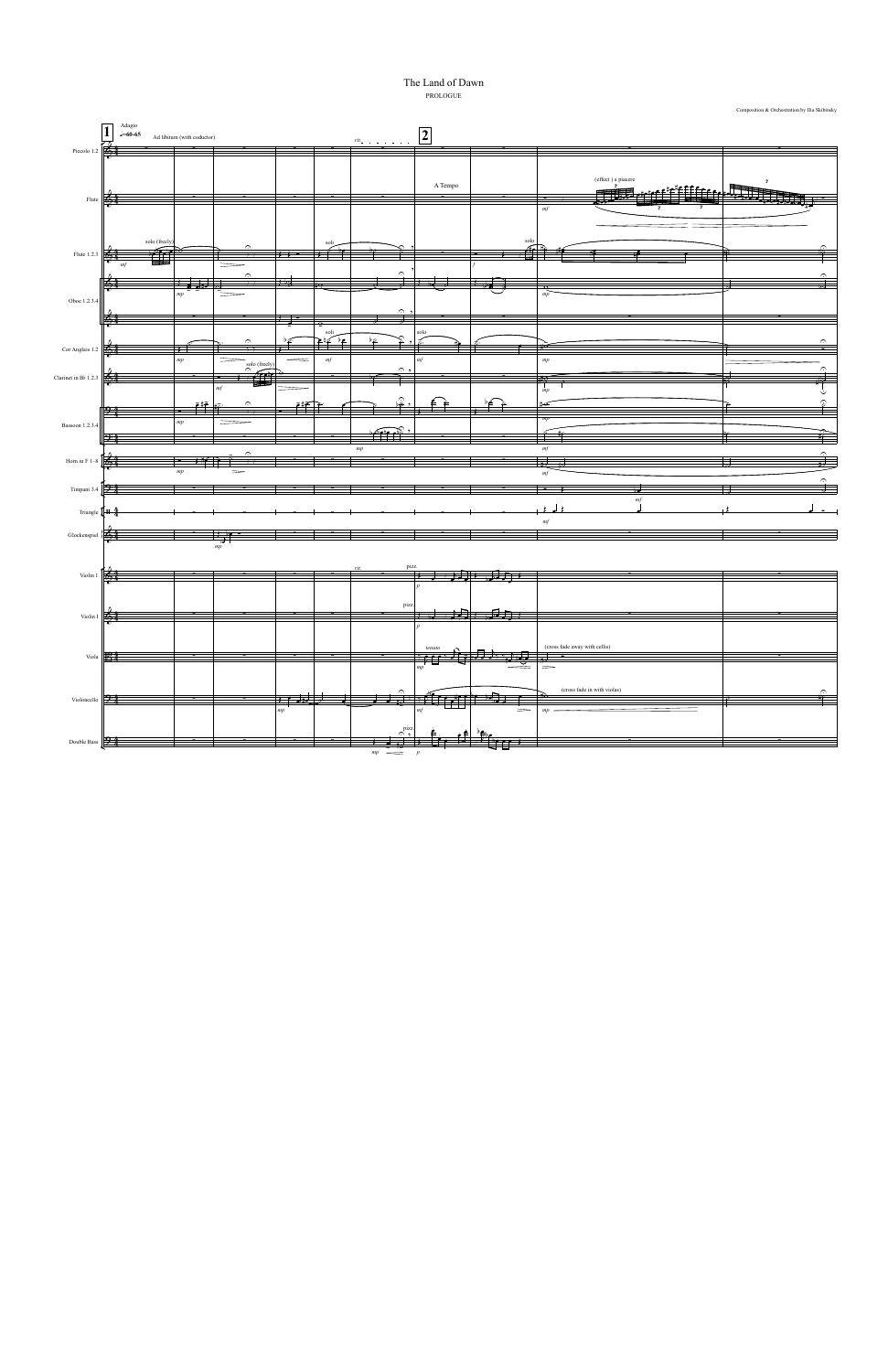PROLOGUE

Composition & Orchestration by Ilia Skibinsky

## The Land of Dawn

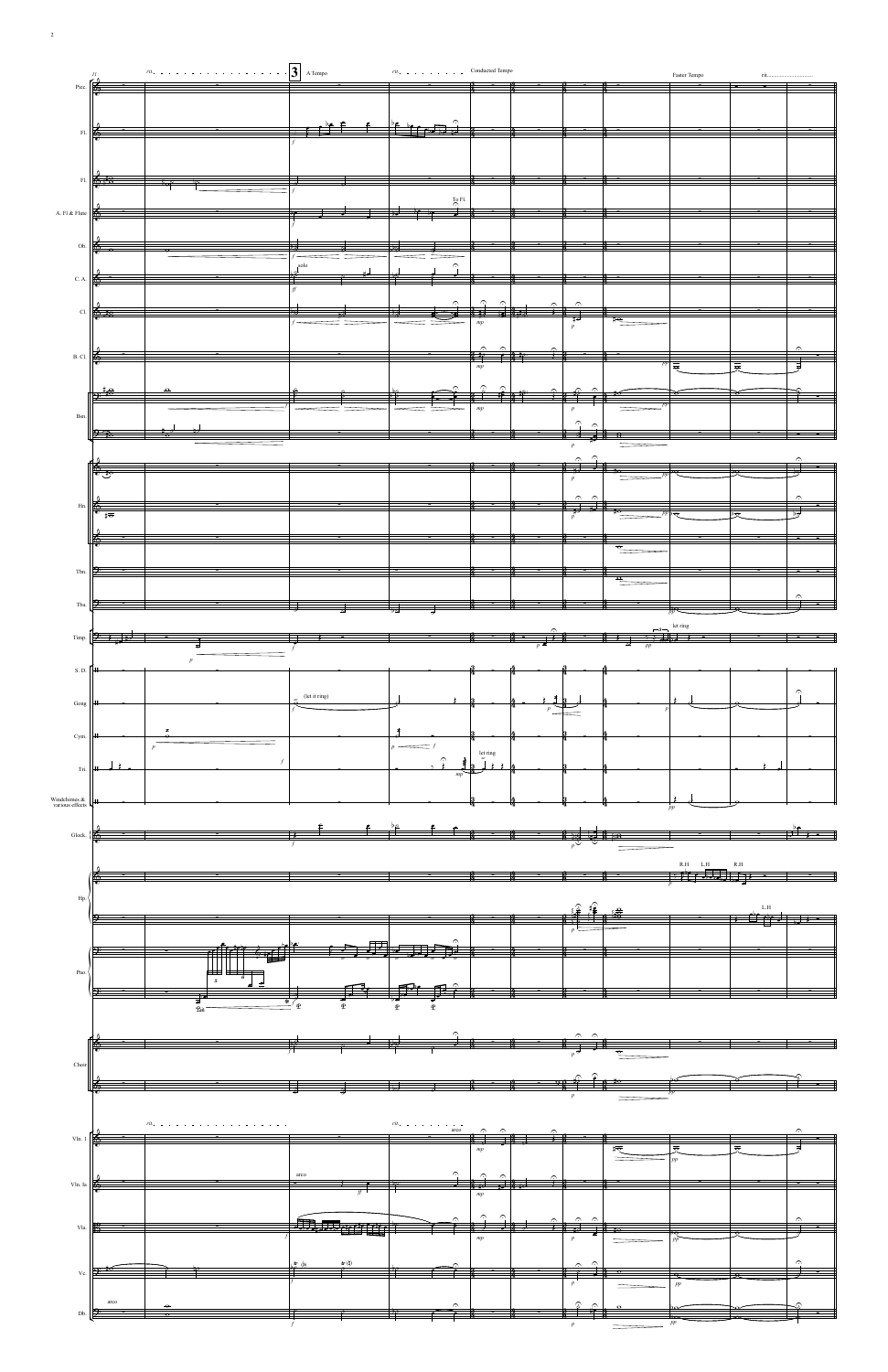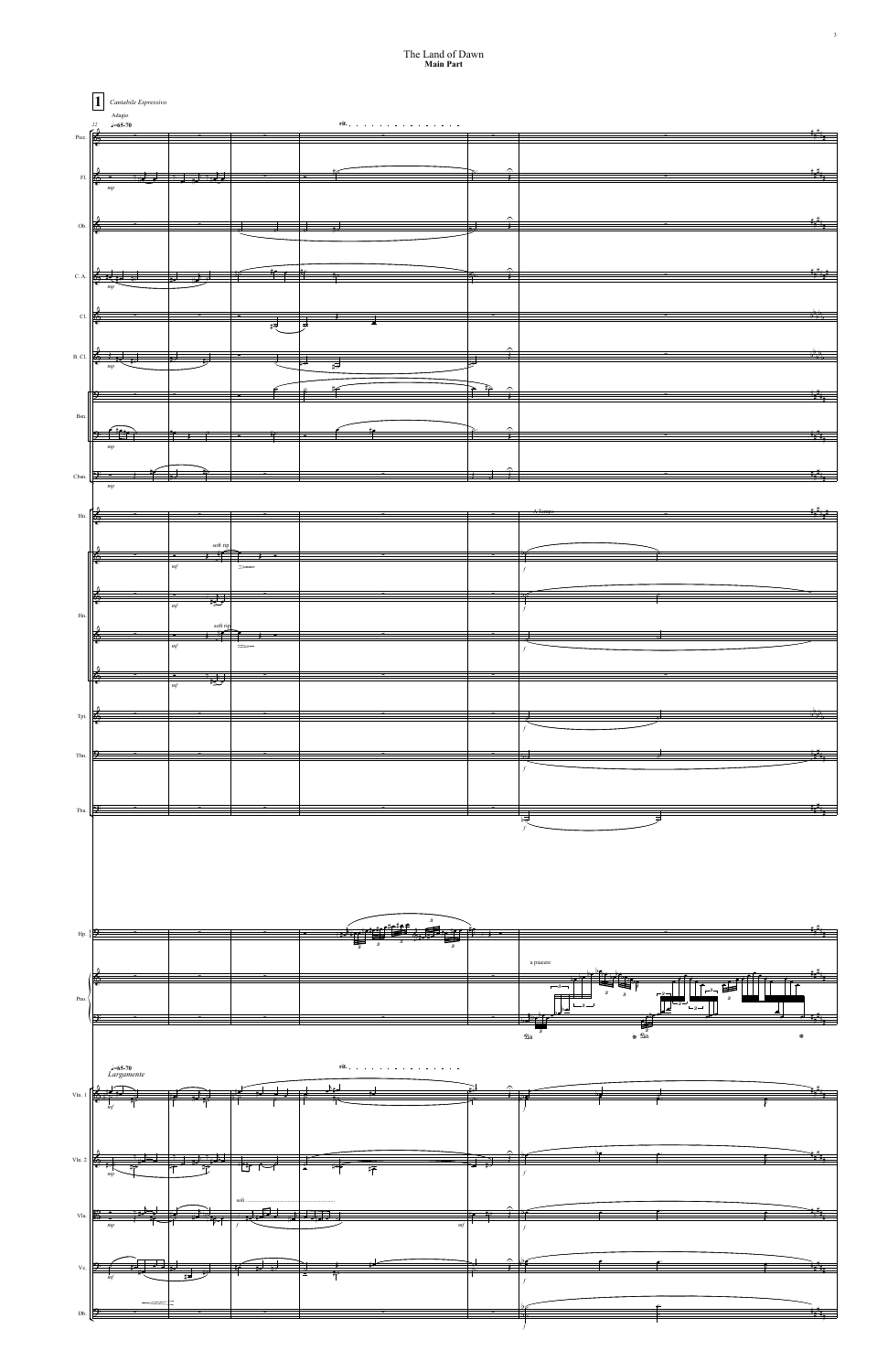The Land of Dawn<br>Main Part

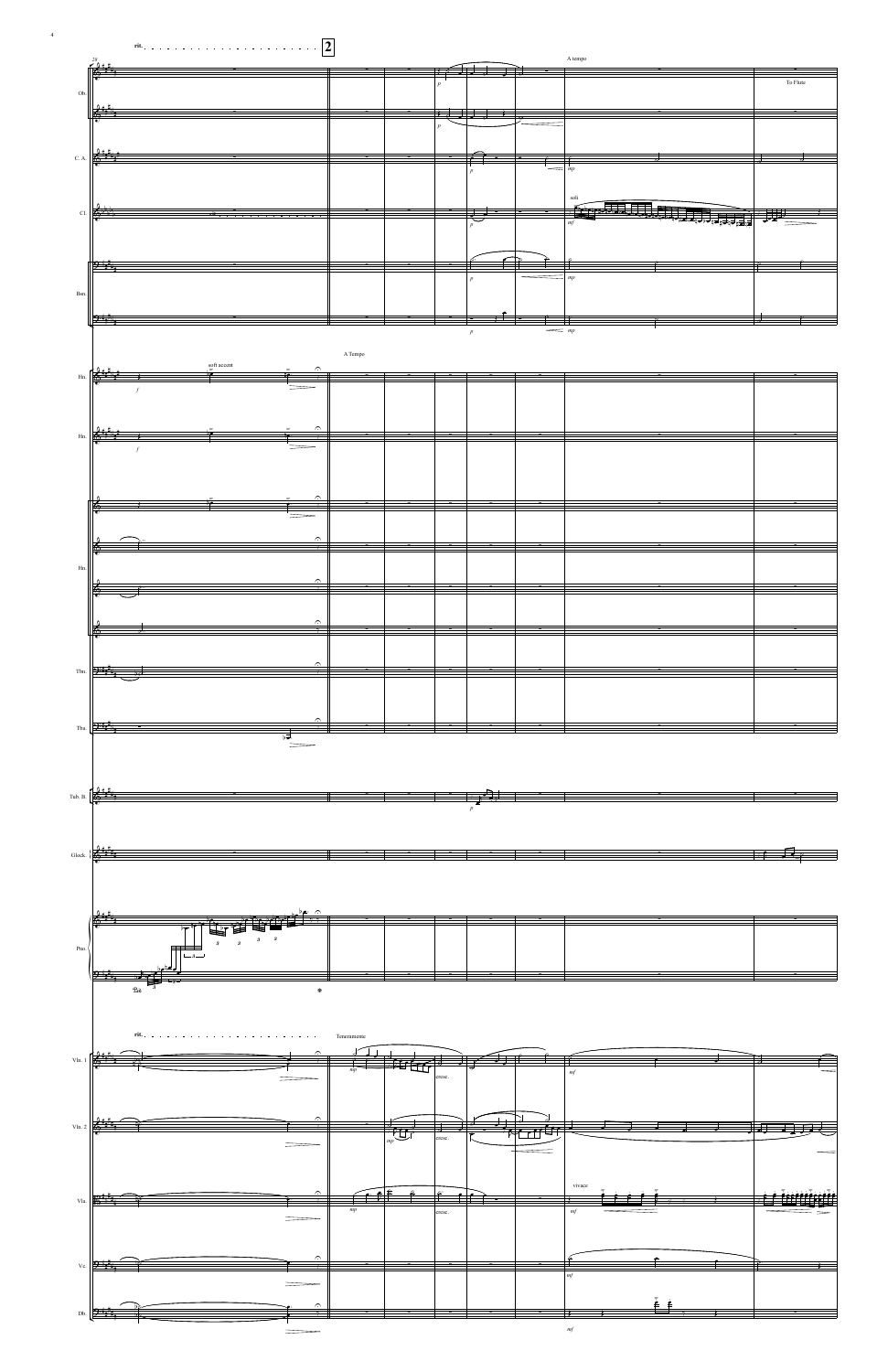



 $\equiv$ 

 $mf$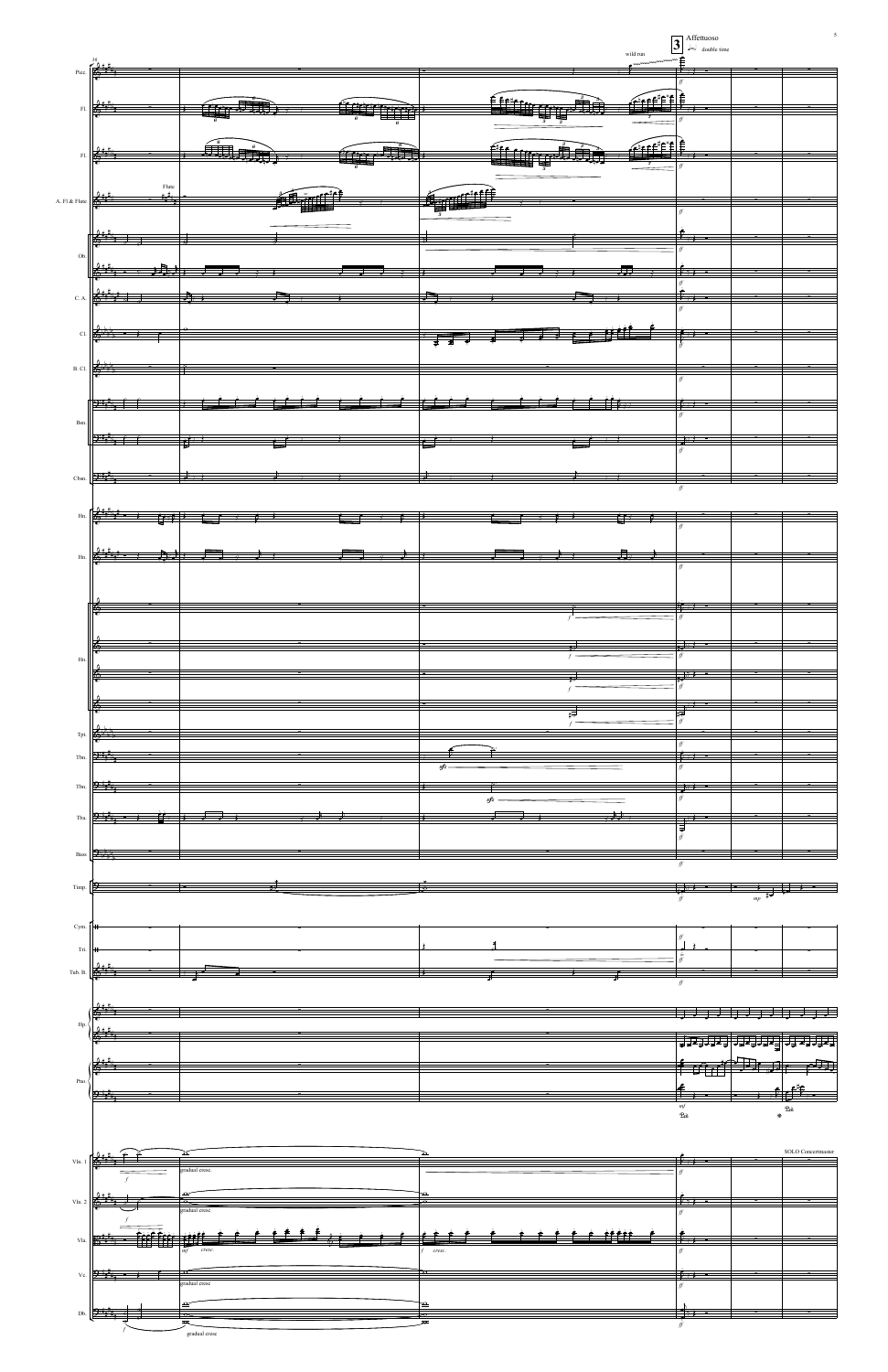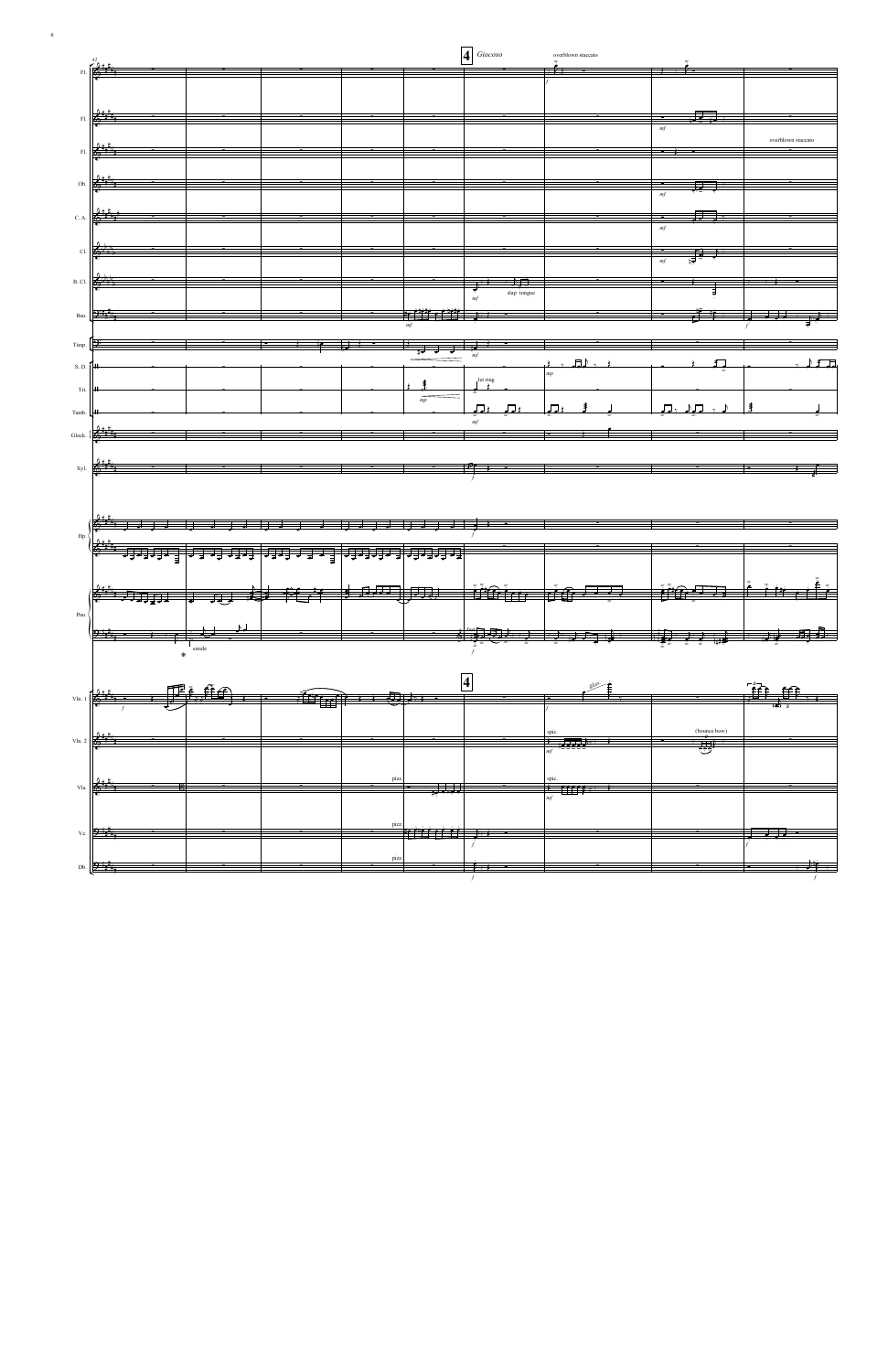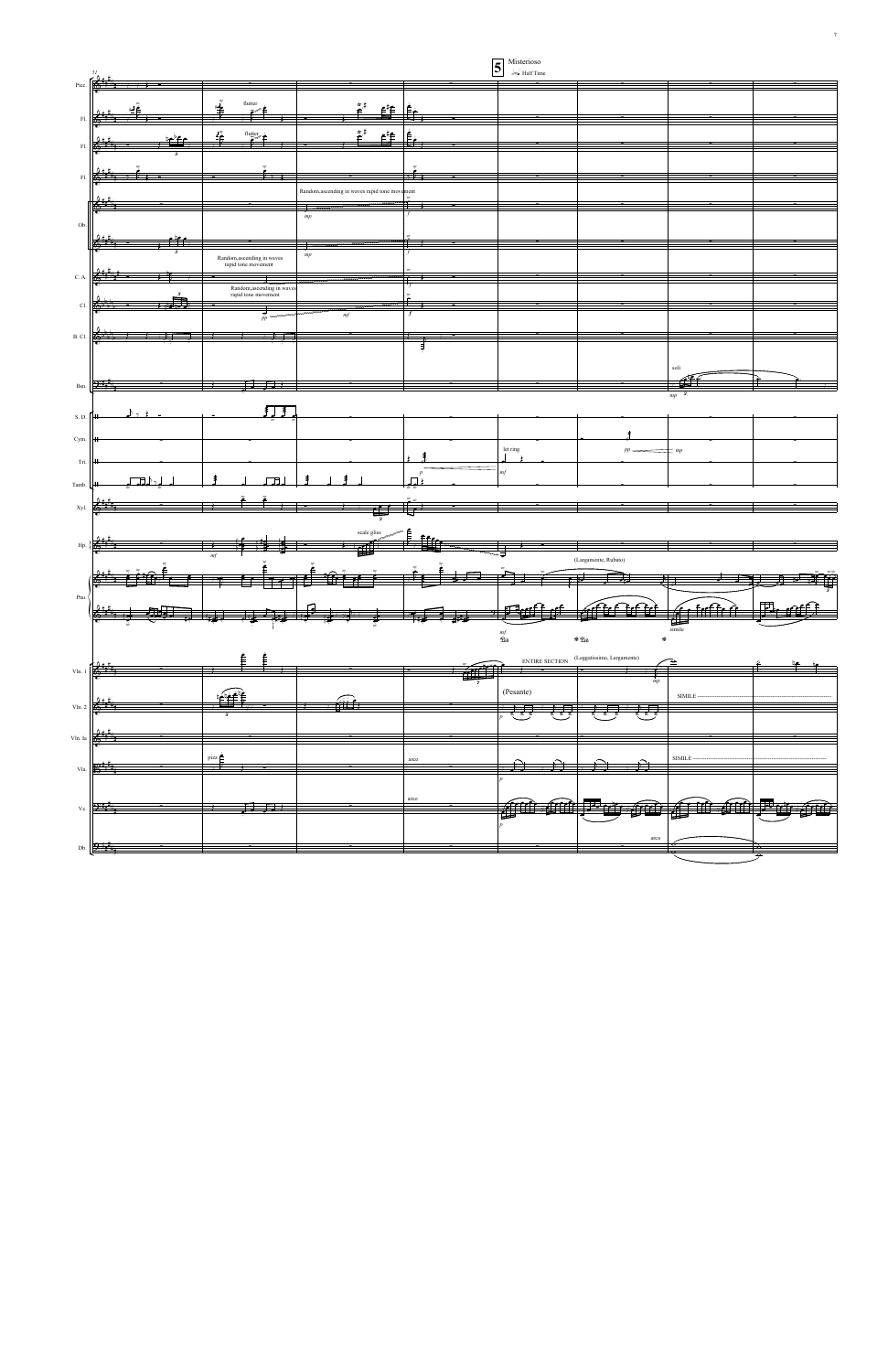| 51                    |                                                      |                                                |                       | $\overline{\mathbf{5}}$<br>$\label{eq:1} \textbf{Misterioso}$<br>$\stackrel{\_}{\circ}=\hspace{-1.2cm}$ Half Time |                                           |                                                                      |     |
|-----------------------|------------------------------------------------------|------------------------------------------------|-----------------------|-------------------------------------------------------------------------------------------------------------------|-------------------------------------------|----------------------------------------------------------------------|-----|
|                       |                                                      |                                                |                       |                                                                                                                   |                                           |                                                                      |     |
|                       | flutter                                              |                                                |                       |                                                                                                                   |                                           |                                                                      |     |
|                       | 瑾                                                    | tr ‡<br>∉‡                                     | غ≣                    |                                                                                                                   |                                           |                                                                      |     |
|                       |                                                      | tr ‡                                           |                       |                                                                                                                   |                                           |                                                                      |     |
| <u>rebect</u>         | 夆<br>flutter                                         | £‡£                                            | Ê,<br>┶               |                                                                                                                   |                                           |                                                                      |     |
|                       |                                                      |                                                |                       |                                                                                                                   |                                           |                                                                      |     |
|                       |                                                      |                                                |                       |                                                                                                                   |                                           |                                                                      |     |
|                       | $\rightarrow$ 1                                      |                                                | 7 P X                 |                                                                                                                   |                                           |                                                                      |     |
|                       |                                                      | Random, ascending in waves rapid tone movement |                       |                                                                                                                   |                                           |                                                                      |     |
| 6                     |                                                      |                                                | ∹                     |                                                                                                                   |                                           |                                                                      |     |
|                       |                                                      | $\boldsymbol{m}p$                              |                       |                                                                                                                   |                                           |                                                                      |     |
|                       |                                                      |                                                |                       |                                                                                                                   |                                           |                                                                      |     |
|                       |                                                      |                                                |                       |                                                                                                                   |                                           |                                                                      |     |
|                       | Random,<br>ascending in waves<br>rapid tone movement | $\boldsymbol{m}p$                              |                       |                                                                                                                   |                                           |                                                                      |     |
| œ                     |                                                      |                                                |                       |                                                                                                                   |                                           |                                                                      |     |
|                       | Random, ascending in waves<br>rapid tone movement    |                                                |                       |                                                                                                                   |                                           |                                                                      |     |
| نه ما وار<br>6        |                                                      |                                                |                       |                                                                                                                   |                                           |                                                                      |     |
|                       | ತ<br>pp                                              | $m\!f$                                         |                       |                                                                                                                   |                                           |                                                                      |     |
|                       |                                                      |                                                |                       |                                                                                                                   |                                           |                                                                      |     |
| $\bigcirc$            |                                                      |                                                | 킟                     |                                                                                                                   |                                           |                                                                      |     |
|                       |                                                      |                                                |                       |                                                                                                                   |                                           |                                                                      |     |
|                       |                                                      |                                                |                       |                                                                                                                   |                                           | soli                                                                 |     |
| 944                   |                                                      |                                                |                       |                                                                                                                   |                                           |                                                                      |     |
|                       |                                                      |                                                |                       |                                                                                                                   |                                           | $\boldsymbol{\mathcal{S}}$<br>$\boldsymbol{m} \boldsymbol{p}$        |     |
|                       | ≢ा≢                                                  |                                                |                       |                                                                                                                   |                                           |                                                                      |     |
|                       |                                                      |                                                |                       |                                                                                                                   |                                           |                                                                      |     |
|                       |                                                      |                                                |                       |                                                                                                                   |                                           |                                                                      |     |
|                       |                                                      |                                                |                       | let ring                                                                                                          | $pp -$                                    | $=$ mp                                                               |     |
|                       |                                                      |                                                |                       |                                                                                                                   |                                           |                                                                      |     |
| Π.                    |                                                      |                                                | $\boldsymbol{p}$<br>□ | mf                                                                                                                |                                           |                                                                      |     |
|                       |                                                      |                                                |                       |                                                                                                                   |                                           |                                                                      |     |
| る                     |                                                      |                                                |                       |                                                                                                                   |                                           |                                                                      |     |
|                       |                                                      | $\overline{\boldsymbol{\cdot}^3}$              |                       |                                                                                                                   |                                           |                                                                      |     |
|                       |                                                      | scale gliss                                    | ₿                     |                                                                                                                   |                                           |                                                                      |     |
| $H_p$ . $\frac{1}{2}$ |                                                      | ∰                                              | $\ddot{=}$            |                                                                                                                   |                                           |                                                                      |     |
| $\bullet$             | $m\!f$                                               |                                                |                       |                                                                                                                   | (Largamente, Rubato)                      |                                                                      |     |
|                       |                                                      |                                                |                       |                                                                                                                   |                                           |                                                                      |     |
|                       |                                                      |                                                |                       |                                                                                                                   | m                                         |                                                                      | Ŧē  |
|                       |                                                      |                                                |                       |                                                                                                                   |                                           |                                                                      |     |
|                       |                                                      |                                                |                       |                                                                                                                   |                                           | $\pm 1$                                                              |     |
|                       |                                                      |                                                |                       |                                                                                                                   |                                           | $\begin{array}{c}\n\bullet \\ \bullet \\ \text{simile}\n\end{array}$ |     |
|                       |                                                      |                                                |                       | $\stackrel{\textit{mf}}{\mathfrak{L}}$ .                                                                          | $\ast$ $2\omega$<br>強                     |                                                                      |     |
|                       |                                                      |                                                |                       |                                                                                                                   |                                           |                                                                      |     |
|                       | Ė<br>$\mathbf{\dot{\mathsf{F}}}$                     |                                                |                       |                                                                                                                   | ENTIRE SECTION (Leggatissimo, Largamente) | $\bullet$                                                            |     |
| 65                    |                                                      |                                                |                       |                                                                                                                   | mp                                        |                                                                      |     |
|                       | 腔腔                                                   |                                                |                       | (Pesante)                                                                                                         |                                           | <b>SIMILE</b> ------                                                 |     |
|                       |                                                      |                                                |                       |                                                                                                                   |                                           |                                                                      |     |
|                       | 3                                                    |                                                |                       | ∙∙                                                                                                                | 痵                                         |                                                                      |     |
|                       |                                                      |                                                |                       |                                                                                                                   |                                           |                                                                      |     |
| m                     |                                                      |                                                |                       |                                                                                                                   |                                           |                                                                      |     |
|                       | $\frac{\text{pix}}{2}$                               |                                                | $\arccos$             |                                                                                                                   |                                           | SIMILE ---                                                           |     |
| $B^{+1}$              |                                                      |                                                |                       | →                                                                                                                 |                                           |                                                                      |     |
|                       |                                                      |                                                |                       |                                                                                                                   |                                           |                                                                      |     |
|                       |                                                      |                                                | arco                  |                                                                                                                   |                                           |                                                                      |     |
| $v_c$ 2 <sup>1</sup>  | $\Box$ :<br>₹                                        |                                                |                       | frat fra<br>⋢                                                                                                     | <u> Para</u>                              | <b>Serrico</b>                                                       | ਢ⊶  |
|                       |                                                      |                                                |                       |                                                                                                                   |                                           |                                                                      |     |
|                       |                                                      |                                                |                       |                                                                                                                   | arco                                      |                                                                      |     |
| 2章。                   |                                                      |                                                |                       |                                                                                                                   |                                           | Ö                                                                    | Lò. |
|                       |                                                      |                                                |                       |                                                                                                                   |                                           |                                                                      |     |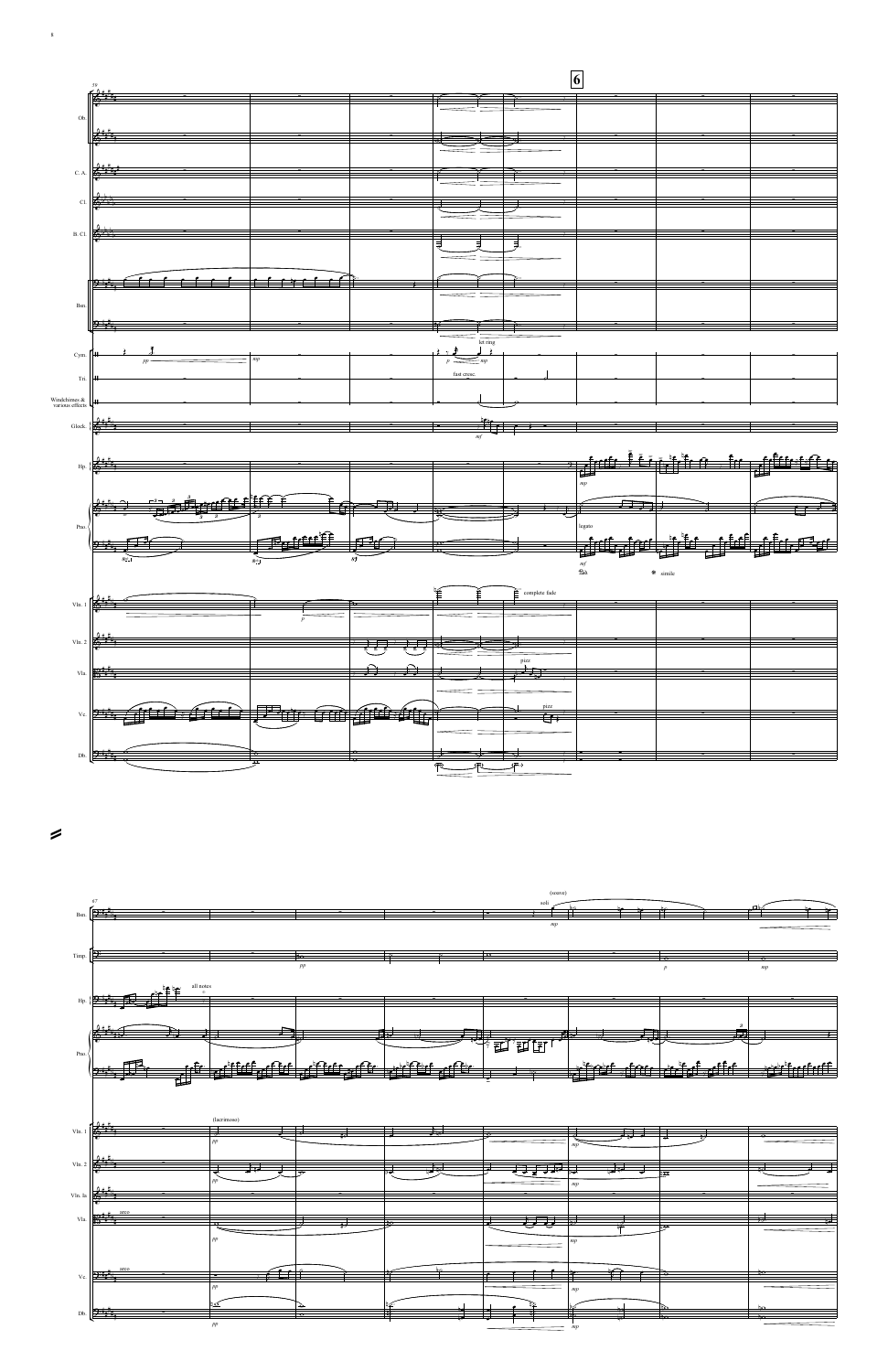

 $\overline{\phantom{a}}$ 

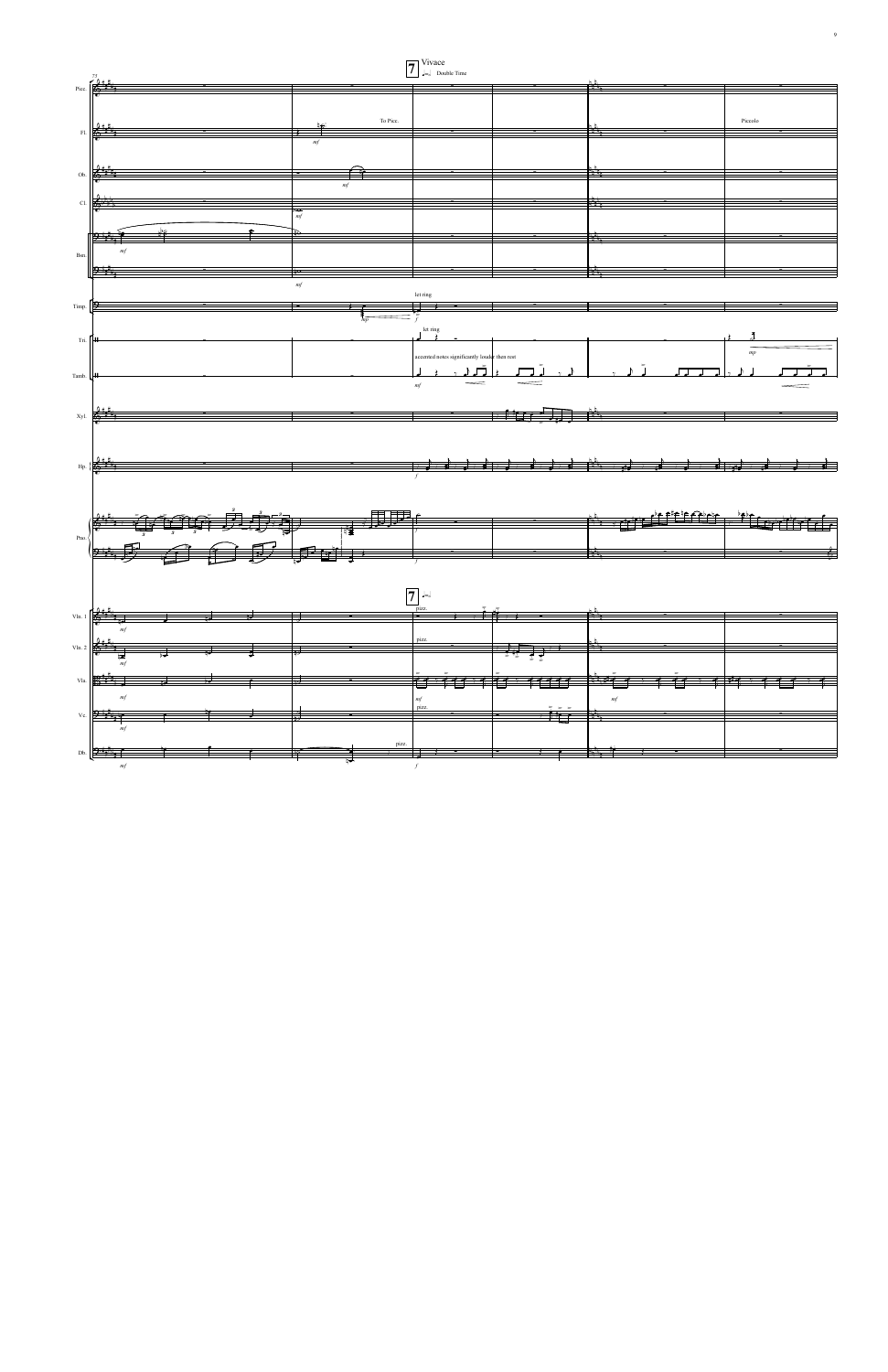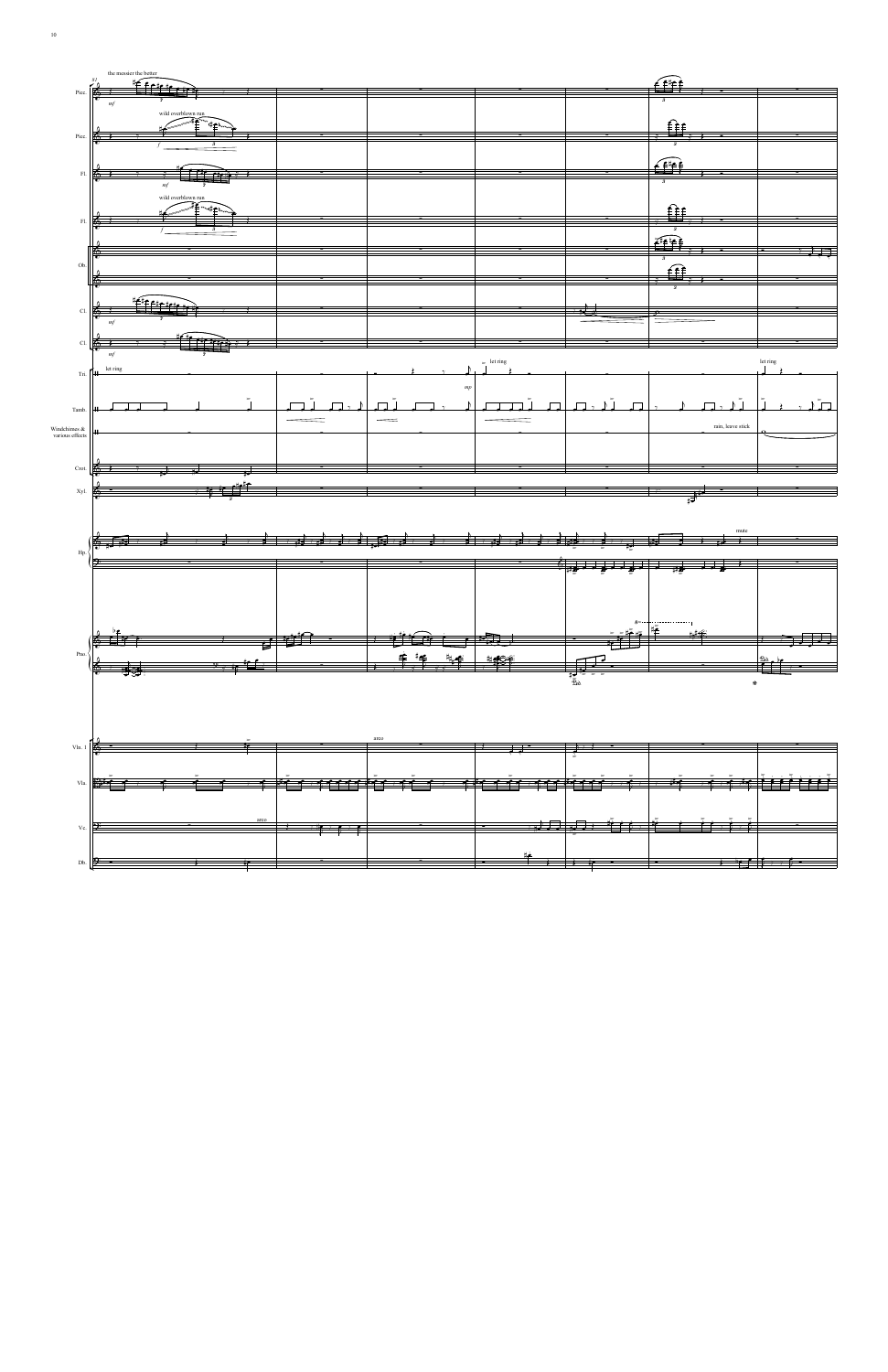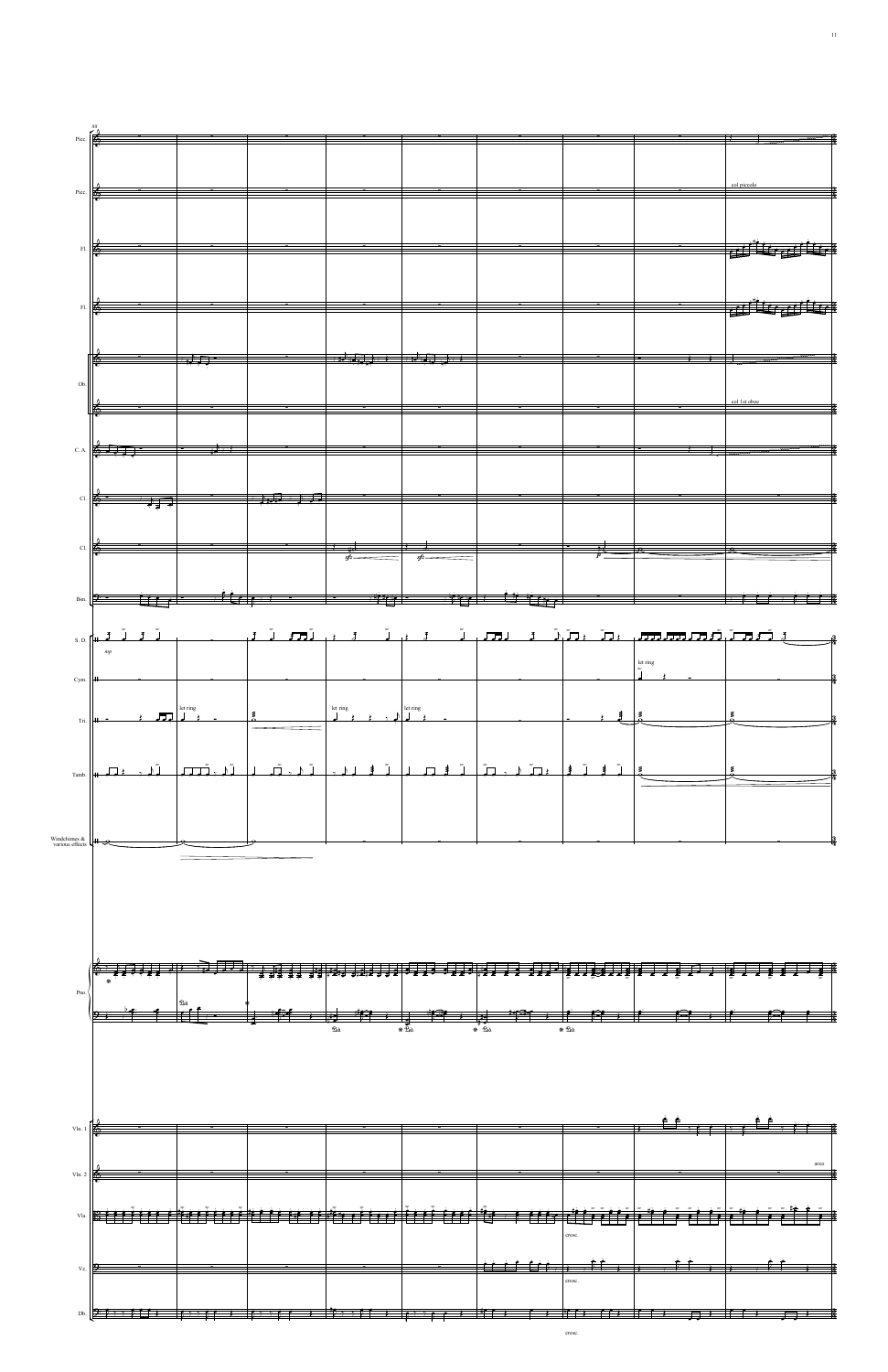



 $*$   $*$   $*$   $*$   $*$  $\frac{3}{4}$  $\langle \hat{C}^{\pm}_{\pm} \rangle$  ,  $\langle \hat{C}^{\pm}_{\pm} \rangle$  ,  $\langle \hat{C}^{\pm}_{\pm} \rangle$  ,  $\langle \hat{C}^{\pm}_{\pm} \rangle$  ,  $\langle \hat{C}^{\pm}_{\pm} \rangle$  ,  $\langle \hat{C}^{\pm}_{\pm} \rangle$  ,  $\langle \hat{C}^{\pm}_{\pm} \rangle$  ,  $\langle \hat{C}^{\pm}_{\pm} \rangle$  ,  $\langle \hat{C}^{\pm}_{\pm} \rangle$  ,  $\langle \hat{C}^{\pm}_{\pm} \rangle$  ,  $\langle \hat{C}^{\pm$ 

P<sub>n</sub>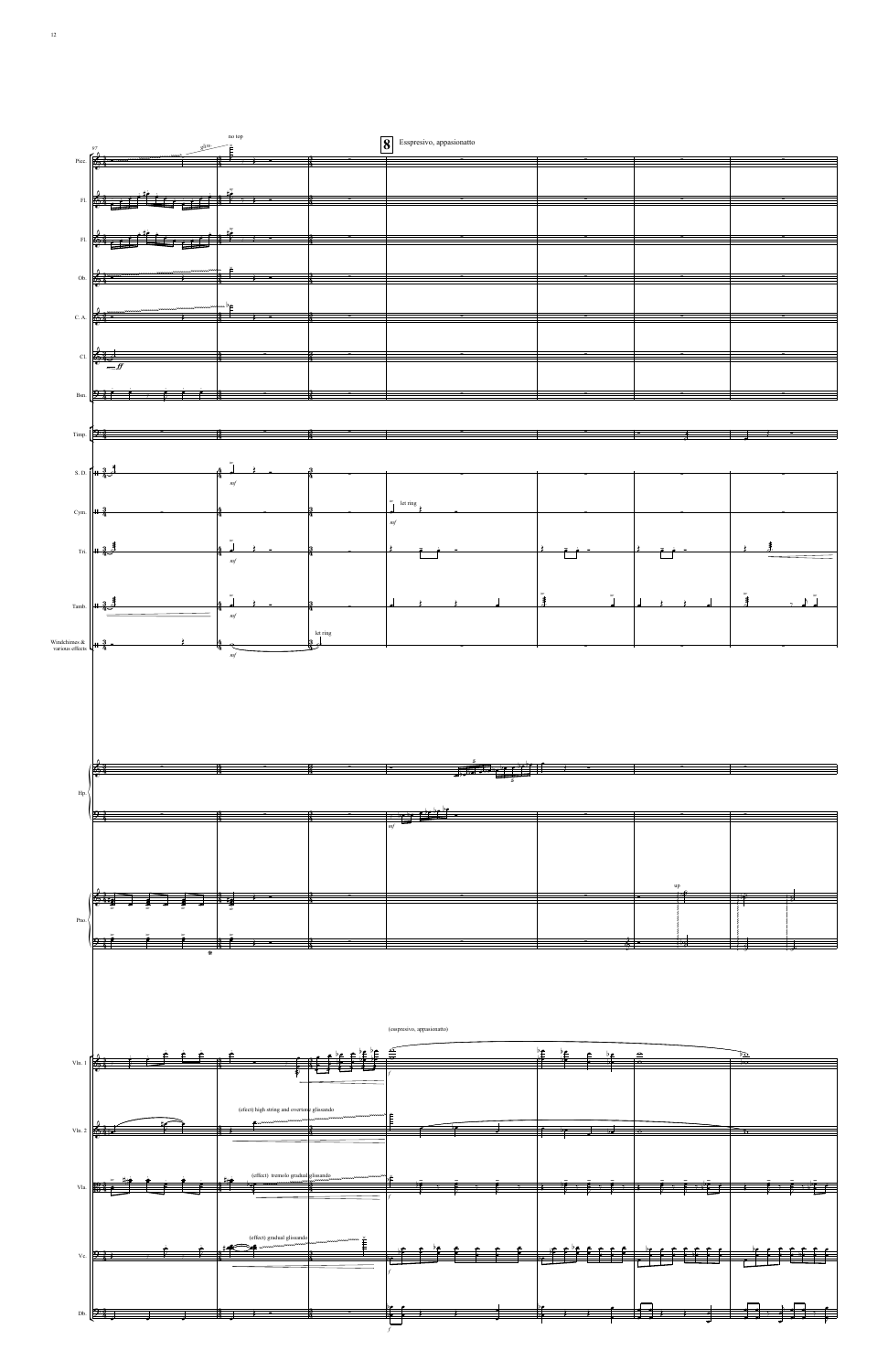

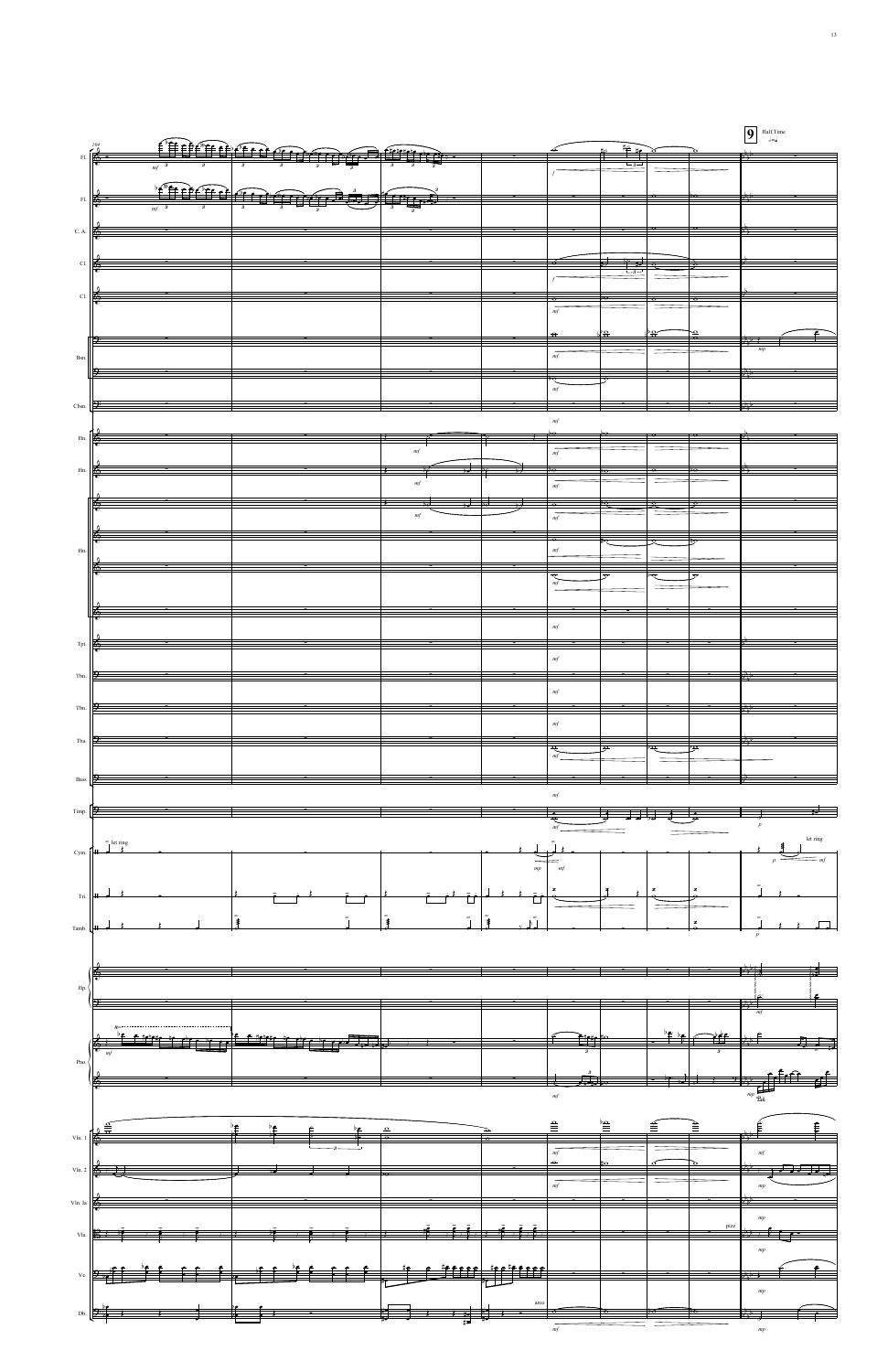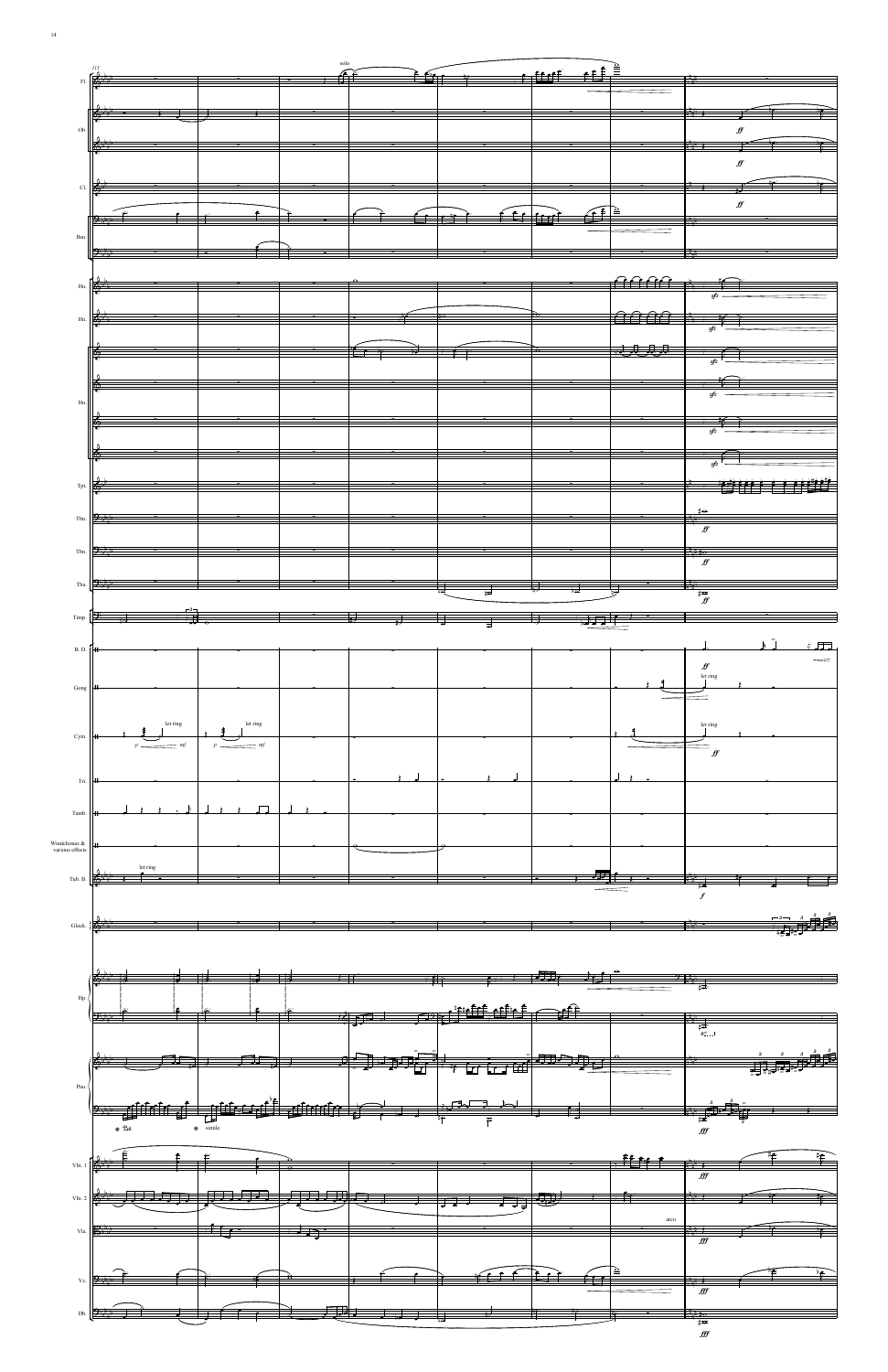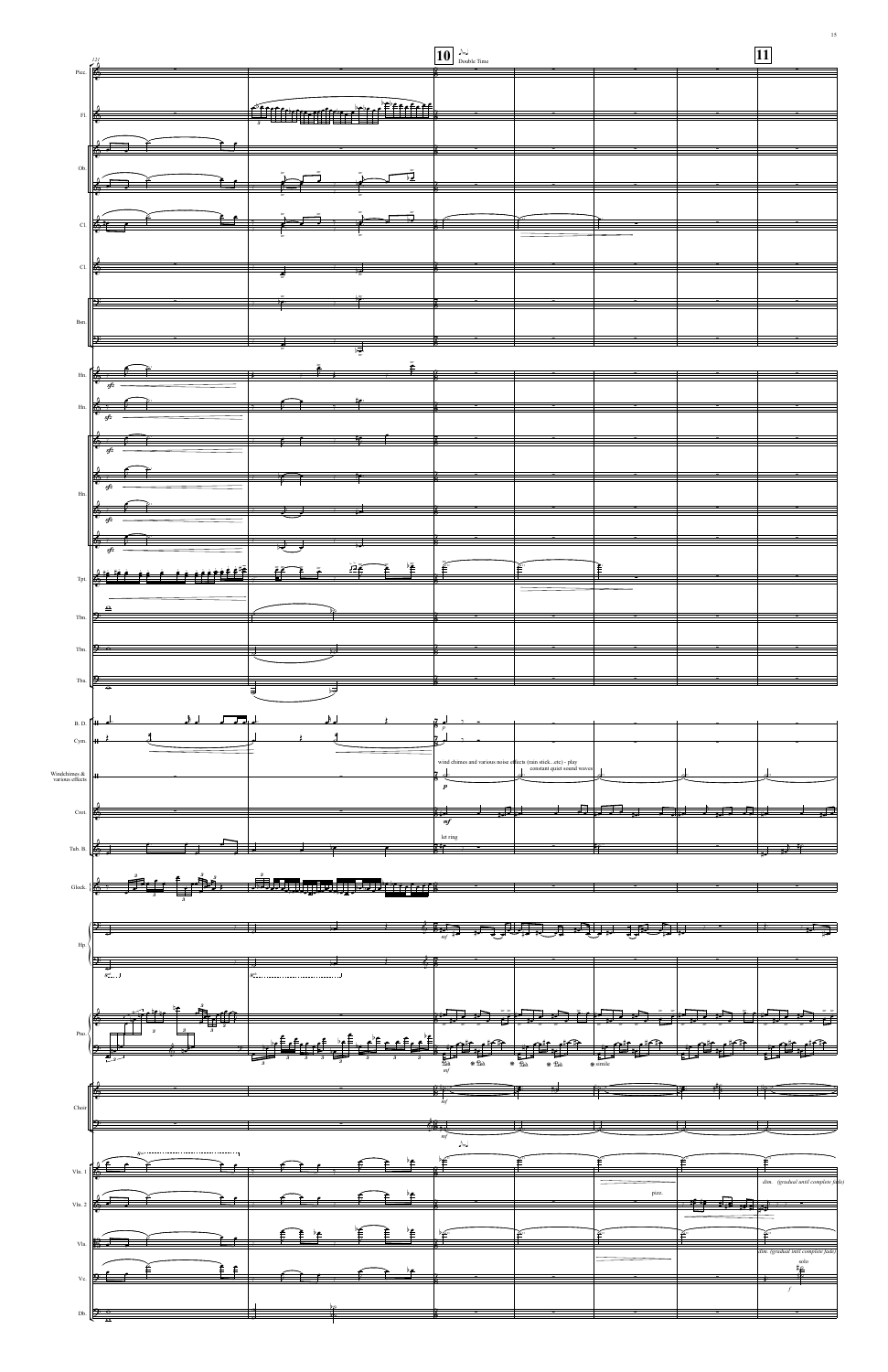| $\frac{b^2b^2+ab^2}{b^2}$<br><u>Est et communed commu</u><br>$\frac{1}{\sqrt{2}}$<br>$\frac{1}{2}$ Hn.<br>$\mathcal{L}$<br>$\rightarrow$<br>$\rightarrow$<br>$\overline{\phantom{a}}$<br>$\frac{H_{\text{B}}}{\sqrt{2}}$<br>$s\sqrt{z}$<br>$\begin{array}{c}\n\begin{array}{c}\n\bullet \\ \bullet \\ \end{array}\n\end{array}$<br>$\overline{\phantom{a}}$<br>$\frac{2}{9}$<br>$\overline{\phantom{a}}$<br>≝<br>s f z<br>$\begin{array}{c} \n\begin{array}{ccc}\n\frac{2}{\sqrt{3}} & \frac{1}{\sqrt{3}} \\ \frac{1}{\sqrt{3}} & \frac{1}{\sqrt{3}} \\ \frac{1}{\sqrt{3}} & -\n\end{array}\n\end{array}$<br>$\overline{y}$<br>$\overline{\phantom{a}}$<br>$\epsilon$<br>sfz<br>Ê<br>乍<br>£.<br>$\frac{1}{2}$ , , , , , , , , , , , ,<br>$\bullet$<br><del>∶</del><br><u>) o</u><br>トラ<br>$\frac{7}{8}$<br>НН<br>wind chimes and various noise effects (rain sticketc) - play<br>let 0 - play<br>let 0 - constant quiet sound waves<br>$\boldsymbol{p}$<br>J 2<br>⋼┙┙<br>⇁<br>m<br>mf<br>let ring<br>rie.<br>⊕<br>▄▄<br>Glock. $\left\{\frac{\sqrt{2}}{2}\right\}$<br>لازمط<br>力<br><del>₽JJ)</del><br>ld ‡ø.<br><del>J.</del><br>।∋<br>6 ⊀<br>⋥⊶<br>82b | Picc. |                                                                                                  | $\boxed{10}$ $\phantom{0}$ $\phantom{0}$ $\phantom{0}$ $\phantom{0}$ $\phantom{0}$ $\phantom{0}$ $\phantom{0}$ $\phantom{0}$ $\phantom{0}$ $\phantom{0}$ $\phantom{0}$ $\phantom{0}$ $\phantom{0}$ $\phantom{0}$ $\phantom{0}$ $\phantom{0}$ $\phantom{0}$ $\phantom{0}$ $\phantom{0}$ $\phantom{0}$ $\phantom{0}$ $\phantom{0}$ $\phantom{0}$ $\phantom{$ | 15<br>$\boxed{11}$ |
|----------------------------------------------------------------------------------------------------------------------------------------------------------------------------------------------------------------------------------------------------------------------------------------------------------------------------------------------------------------------------------------------------------------------------------------------------------------------------------------------------------------------------------------------------------------------------------------------------------------------------------------------------------------------------------------------------------------------------------------------------------------------------------------------------------------------------------------------------------------------------------------------------------------------------------------------------------------------------------------------------------------------------------------------------------------------------------------------------------------------------------------------------------|-------|--------------------------------------------------------------------------------------------------|------------------------------------------------------------------------------------------------------------------------------------------------------------------------------------------------------------------------------------------------------------------------------------------------------------------------------------------------------------|--------------------|
|                                                                                                                                                                                                                                                                                                                                                                                                                                                                                                                                                                                                                                                                                                                                                                                                                                                                                                                                                                                                                                                                                                                                                          |       |                                                                                                  |                                                                                                                                                                                                                                                                                                                                                            |                    |
|                                                                                                                                                                                                                                                                                                                                                                                                                                                                                                                                                                                                                                                                                                                                                                                                                                                                                                                                                                                                                                                                                                                                                          |       |                                                                                                  |                                                                                                                                                                                                                                                                                                                                                            |                    |
|                                                                                                                                                                                                                                                                                                                                                                                                                                                                                                                                                                                                                                                                                                                                                                                                                                                                                                                                                                                                                                                                                                                                                          |       |                                                                                                  |                                                                                                                                                                                                                                                                                                                                                            |                    |
|                                                                                                                                                                                                                                                                                                                                                                                                                                                                                                                                                                                                                                                                                                                                                                                                                                                                                                                                                                                                                                                                                                                                                          |       |                                                                                                  |                                                                                                                                                                                                                                                                                                                                                            |                    |
|                                                                                                                                                                                                                                                                                                                                                                                                                                                                                                                                                                                                                                                                                                                                                                                                                                                                                                                                                                                                                                                                                                                                                          |       |                                                                                                  |                                                                                                                                                                                                                                                                                                                                                            |                    |
|                                                                                                                                                                                                                                                                                                                                                                                                                                                                                                                                                                                                                                                                                                                                                                                                                                                                                                                                                                                                                                                                                                                                                          |       |                                                                                                  |                                                                                                                                                                                                                                                                                                                                                            |                    |
|                                                                                                                                                                                                                                                                                                                                                                                                                                                                                                                                                                                                                                                                                                                                                                                                                                                                                                                                                                                                                                                                                                                                                          |       |                                                                                                  |                                                                                                                                                                                                                                                                                                                                                            |                    |
|                                                                                                                                                                                                                                                                                                                                                                                                                                                                                                                                                                                                                                                                                                                                                                                                                                                                                                                                                                                                                                                                                                                                                          |       |                                                                                                  |                                                                                                                                                                                                                                                                                                                                                            |                    |
|                                                                                                                                                                                                                                                                                                                                                                                                                                                                                                                                                                                                                                                                                                                                                                                                                                                                                                                                                                                                                                                                                                                                                          |       |                                                                                                  |                                                                                                                                                                                                                                                                                                                                                            |                    |
|                                                                                                                                                                                                                                                                                                                                                                                                                                                                                                                                                                                                                                                                                                                                                                                                                                                                                                                                                                                                                                                                                                                                                          |       |                                                                                                  |                                                                                                                                                                                                                                                                                                                                                            |                    |
|                                                                                                                                                                                                                                                                                                                                                                                                                                                                                                                                                                                                                                                                                                                                                                                                                                                                                                                                                                                                                                                                                                                                                          |       |                                                                                                  |                                                                                                                                                                                                                                                                                                                                                            |                    |
|                                                                                                                                                                                                                                                                                                                                                                                                                                                                                                                                                                                                                                                                                                                                                                                                                                                                                                                                                                                                                                                                                                                                                          |       |                                                                                                  |                                                                                                                                                                                                                                                                                                                                                            |                    |
|                                                                                                                                                                                                                                                                                                                                                                                                                                                                                                                                                                                                                                                                                                                                                                                                                                                                                                                                                                                                                                                                                                                                                          |       |                                                                                                  |                                                                                                                                                                                                                                                                                                                                                            |                    |
|                                                                                                                                                                                                                                                                                                                                                                                                                                                                                                                                                                                                                                                                                                                                                                                                                                                                                                                                                                                                                                                                                                                                                          |       |                                                                                                  |                                                                                                                                                                                                                                                                                                                                                            |                    |
|                                                                                                                                                                                                                                                                                                                                                                                                                                                                                                                                                                                                                                                                                                                                                                                                                                                                                                                                                                                                                                                                                                                                                          |       |                                                                                                  |                                                                                                                                                                                                                                                                                                                                                            |                    |
|                                                                                                                                                                                                                                                                                                                                                                                                                                                                                                                                                                                                                                                                                                                                                                                                                                                                                                                                                                                                                                                                                                                                                          |       |                                                                                                  |                                                                                                                                                                                                                                                                                                                                                            |                    |
|                                                                                                                                                                                                                                                                                                                                                                                                                                                                                                                                                                                                                                                                                                                                                                                                                                                                                                                                                                                                                                                                                                                                                          |       |                                                                                                  |                                                                                                                                                                                                                                                                                                                                                            |                    |
|                                                                                                                                                                                                                                                                                                                                                                                                                                                                                                                                                                                                                                                                                                                                                                                                                                                                                                                                                                                                                                                                                                                                                          |       |                                                                                                  |                                                                                                                                                                                                                                                                                                                                                            |                    |
|                                                                                                                                                                                                                                                                                                                                                                                                                                                                                                                                                                                                                                                                                                                                                                                                                                                                                                                                                                                                                                                                                                                                                          |       |                                                                                                  |                                                                                                                                                                                                                                                                                                                                                            |                    |
|                                                                                                                                                                                                                                                                                                                                                                                                                                                                                                                                                                                                                                                                                                                                                                                                                                                                                                                                                                                                                                                                                                                                                          |       |                                                                                                  |                                                                                                                                                                                                                                                                                                                                                            |                    |
|                                                                                                                                                                                                                                                                                                                                                                                                                                                                                                                                                                                                                                                                                                                                                                                                                                                                                                                                                                                                                                                                                                                                                          |       |                                                                                                  |                                                                                                                                                                                                                                                                                                                                                            |                    |
|                                                                                                                                                                                                                                                                                                                                                                                                                                                                                                                                                                                                                                                                                                                                                                                                                                                                                                                                                                                                                                                                                                                                                          |       |                                                                                                  |                                                                                                                                                                                                                                                                                                                                                            |                    |
|                                                                                                                                                                                                                                                                                                                                                                                                                                                                                                                                                                                                                                                                                                                                                                                                                                                                                                                                                                                                                                                                                                                                                          |       |                                                                                                  |                                                                                                                                                                                                                                                                                                                                                            |                    |
|                                                                                                                                                                                                                                                                                                                                                                                                                                                                                                                                                                                                                                                                                                                                                                                                                                                                                                                                                                                                                                                                                                                                                          |       |                                                                                                  |                                                                                                                                                                                                                                                                                                                                                            |                    |
|                                                                                                                                                                                                                                                                                                                                                                                                                                                                                                                                                                                                                                                                                                                                                                                                                                                                                                                                                                                                                                                                                                                                                          |       |                                                                                                  |                                                                                                                                                                                                                                                                                                                                                            |                    |
|                                                                                                                                                                                                                                                                                                                                                                                                                                                                                                                                                                                                                                                                                                                                                                                                                                                                                                                                                                                                                                                                                                                                                          |       |                                                                                                  |                                                                                                                                                                                                                                                                                                                                                            |                    |
|                                                                                                                                                                                                                                                                                                                                                                                                                                                                                                                                                                                                                                                                                                                                                                                                                                                                                                                                                                                                                                                                                                                                                          |       |                                                                                                  |                                                                                                                                                                                                                                                                                                                                                            |                    |
|                                                                                                                                                                                                                                                                                                                                                                                                                                                                                                                                                                                                                                                                                                                                                                                                                                                                                                                                                                                                                                                                                                                                                          |       |                                                                                                  |                                                                                                                                                                                                                                                                                                                                                            |                    |
|                                                                                                                                                                                                                                                                                                                                                                                                                                                                                                                                                                                                                                                                                                                                                                                                                                                                                                                                                                                                                                                                                                                                                          |       |                                                                                                  |                                                                                                                                                                                                                                                                                                                                                            |                    |
|                                                                                                                                                                                                                                                                                                                                                                                                                                                                                                                                                                                                                                                                                                                                                                                                                                                                                                                                                                                                                                                                                                                                                          |       |                                                                                                  |                                                                                                                                                                                                                                                                                                                                                            |                    |
|                                                                                                                                                                                                                                                                                                                                                                                                                                                                                                                                                                                                                                                                                                                                                                                                                                                                                                                                                                                                                                                                                                                                                          |       |                                                                                                  |                                                                                                                                                                                                                                                                                                                                                            |                    |
|                                                                                                                                                                                                                                                                                                                                                                                                                                                                                                                                                                                                                                                                                                                                                                                                                                                                                                                                                                                                                                                                                                                                                          |       |                                                                                                  |                                                                                                                                                                                                                                                                                                                                                            |                    |
|                                                                                                                                                                                                                                                                                                                                                                                                                                                                                                                                                                                                                                                                                                                                                                                                                                                                                                                                                                                                                                                                                                                                                          |       |                                                                                                  |                                                                                                                                                                                                                                                                                                                                                            |                    |
|                                                                                                                                                                                                                                                                                                                                                                                                                                                                                                                                                                                                                                                                                                                                                                                                                                                                                                                                                                                                                                                                                                                                                          |       |                                                                                                  |                                                                                                                                                                                                                                                                                                                                                            |                    |
|                                                                                                                                                                                                                                                                                                                                                                                                                                                                                                                                                                                                                                                                                                                                                                                                                                                                                                                                                                                                                                                                                                                                                          |       |                                                                                                  |                                                                                                                                                                                                                                                                                                                                                            |                    |
|                                                                                                                                                                                                                                                                                                                                                                                                                                                                                                                                                                                                                                                                                                                                                                                                                                                                                                                                                                                                                                                                                                                                                          |       |                                                                                                  |                                                                                                                                                                                                                                                                                                                                                            |                    |
|                                                                                                                                                                                                                                                                                                                                                                                                                                                                                                                                                                                                                                                                                                                                                                                                                                                                                                                                                                                                                                                                                                                                                          |       |                                                                                                  |                                                                                                                                                                                                                                                                                                                                                            |                    |
|                                                                                                                                                                                                                                                                                                                                                                                                                                                                                                                                                                                                                                                                                                                                                                                                                                                                                                                                                                                                                                                                                                                                                          |       |                                                                                                  |                                                                                                                                                                                                                                                                                                                                                            |                    |
|                                                                                                                                                                                                                                                                                                                                                                                                                                                                                                                                                                                                                                                                                                                                                                                                                                                                                                                                                                                                                                                                                                                                                          |       |                                                                                                  |                                                                                                                                                                                                                                                                                                                                                            |                    |
|                                                                                                                                                                                                                                                                                                                                                                                                                                                                                                                                                                                                                                                                                                                                                                                                                                                                                                                                                                                                                                                                                                                                                          |       | $8\overset{\text{\tiny ab}}{\ldots}\cdots\cdots\cdots\cdots\cdots\cdots\cdots\cdots\cdots\cdots$ |                                                                                                                                                                                                                                                                                                                                                            |                    |

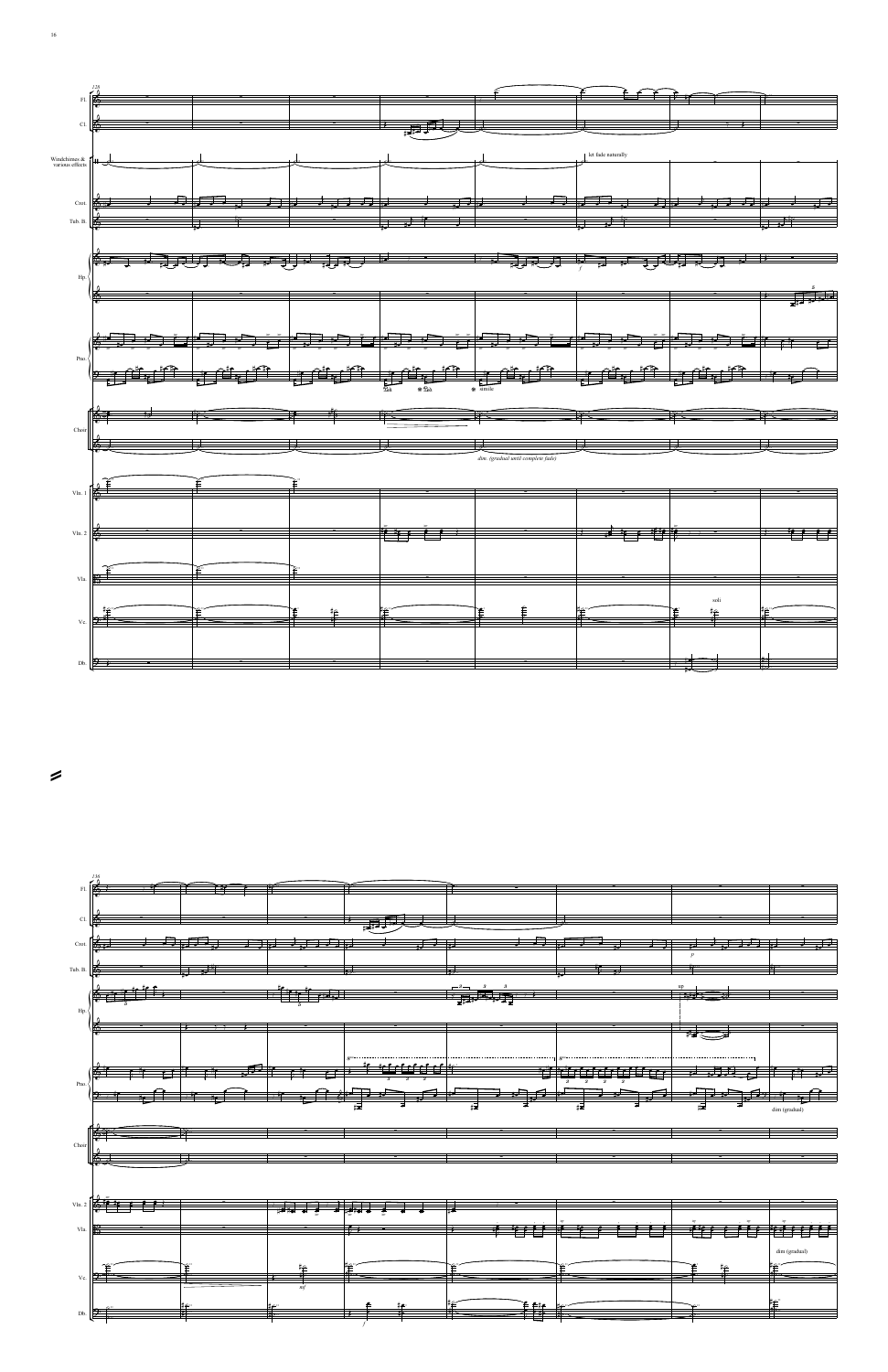

 $\mathcal{L}$  and the set of  $\mathcal{L}$ 



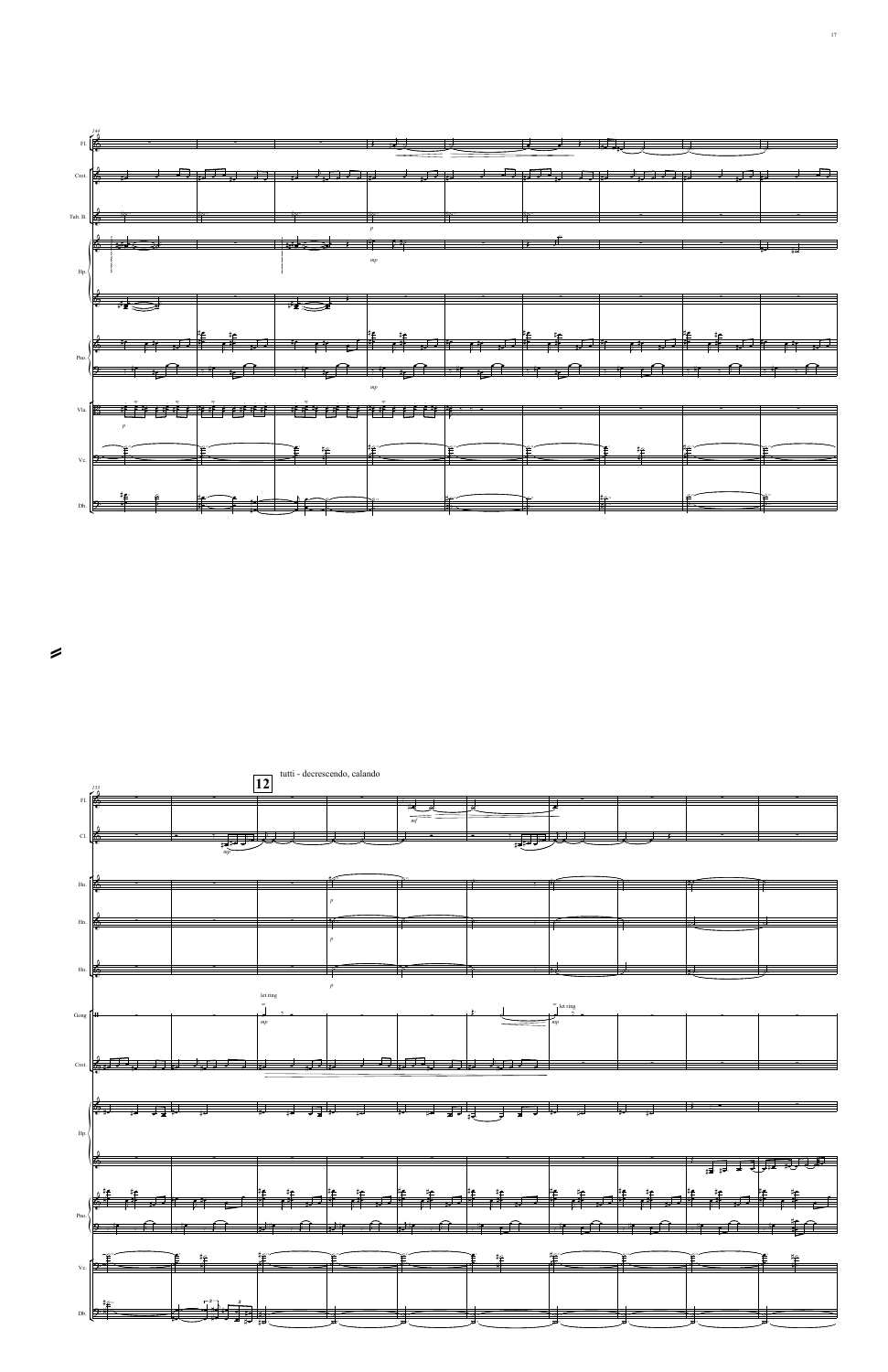

 $\boldsymbol{z}$